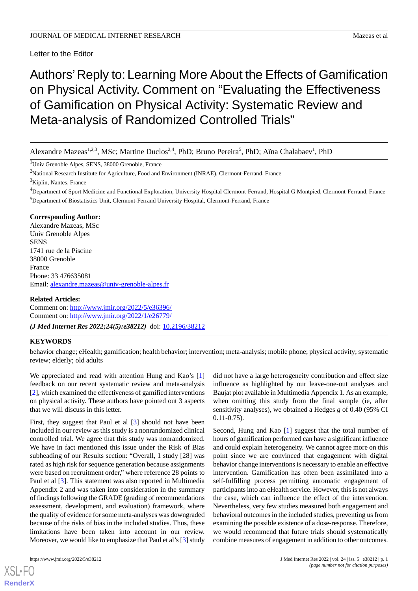# Letter to the Editor

# Authors'Reply to: Learning More About the Effects of Gamification on Physical Activity. Comment on "Evaluating the Effectiveness of Gamification on Physical Activity: Systematic Review and Meta-analysis of Randomized Controlled Trials"

Alexandre Mazeas<sup>1,2,3</sup>, MSc; Martine Duclos<sup>2,4</sup>, PhD; Bruno Pereira<sup>5</sup>, PhD; Aïna Chalabaev<sup>1</sup>, PhD

<sup>1</sup>Univ Grenoble Alpes, SENS, 38000 Grenoble, France

<sup>2</sup>National Research Institute for Agriculture, Food and Environment (INRAE), Clermont-Ferrand, France

 $3$ Kiplin, Nantes, France

<sup>4</sup>Department of Sport Medicine and Functional Exploration, University Hospital Clermont-Ferrand, Hospital G Montpied, Clermont-Ferrand, France <sup>5</sup>Department of Biostatistics Unit, Clermont-Ferrand University Hospital, Clermont-Ferrand, France

#### **Corresponding Author:**

Alexandre Mazeas, MSc Univ Grenoble Alpes SENS 1741 rue de la Piscine 38000 Grenoble France Phone: 33 476635081 Email: [alexandre.mazeas@univ-grenoble-alpes.fr](mailto:alexandre.mazeas@univ-grenoble-alpes.fr)

## **Related Articles:**

Comment on: <http://www.jmir.org/2022/5/e36396/> Comment on: <http://www.jmir.org/2022/1/e26779/> *(J Med Internet Res 2022;24(5):e38212)* doi:  $10.2196/38212$ 

## **KEYWORDS**

behavior change; eHealth; gamification; health behavior; intervention; meta-analysis; mobile phone; physical activity; systematic review; elderly; old adults

We appreciated and read with attention Hung and Kao's [\[1](#page-1-0)] feedback on our recent systematic review and meta-analysis [[2\]](#page-1-1), which examined the effectiveness of gamified interventions on physical activity. These authors have pointed out 3 aspects that we will discuss in this letter.

First, they suggest that Paul et al [[3\]](#page-1-2) should not have been included in our review as this study is a nonrandomized clinical controlled trial. We agree that this study was nonrandomized. We have in fact mentioned this issue under the Risk of Bias subheading of our Results section: "Overall, 1 study [28] was rated as high risk for sequence generation because assignments were based on recruitment order," where reference 28 points to Paul et al [\[3](#page-1-2)]. This statement was also reported in Multimedia Appendix 2 and was taken into consideration in the summary of findings following the GRADE (grading of recommendations assessment, development, and evaluation) framework, where the quality of evidence for some meta-analyses was downgraded because of the risks of bias in the included studies. Thus, these limitations have been taken into account in our review. Moreover, we would like to emphasize that Paul et al's [\[3\]](#page-1-2) study

[XSL](http://www.w3.org/Style/XSL)•FO **[RenderX](http://www.renderx.com/)**

did not have a large heterogeneity contribution and effect size influence as highlighted by our leave-one-out analyses and Baujat plot available in Multimedia Appendix 1. As an example, when omitting this study from the final sample (ie, after sensitivity analyses), we obtained a Hedges *g* of 0.40 (95% CI 0.11-0.75).

Second, Hung and Kao [[1\]](#page-1-0) suggest that the total number of hours of gamification performed can have a significant influence and could explain heterogeneity. We cannot agree more on this point since we are convinced that engagement with digital behavior change interventions is necessary to enable an effective intervention. Gamification has often been assimilated into a self-fulfilling process permitting automatic engagement of participants into an eHealth service. However, this is not always the case, which can influence the effect of the intervention. Nevertheless, very few studies measured both engagement and behavioral outcomes in the included studies, preventing us from examining the possible existence of a dose-response. Therefore, we would recommend that future trials should systematically combine measures of engagement in addition to other outcomes.